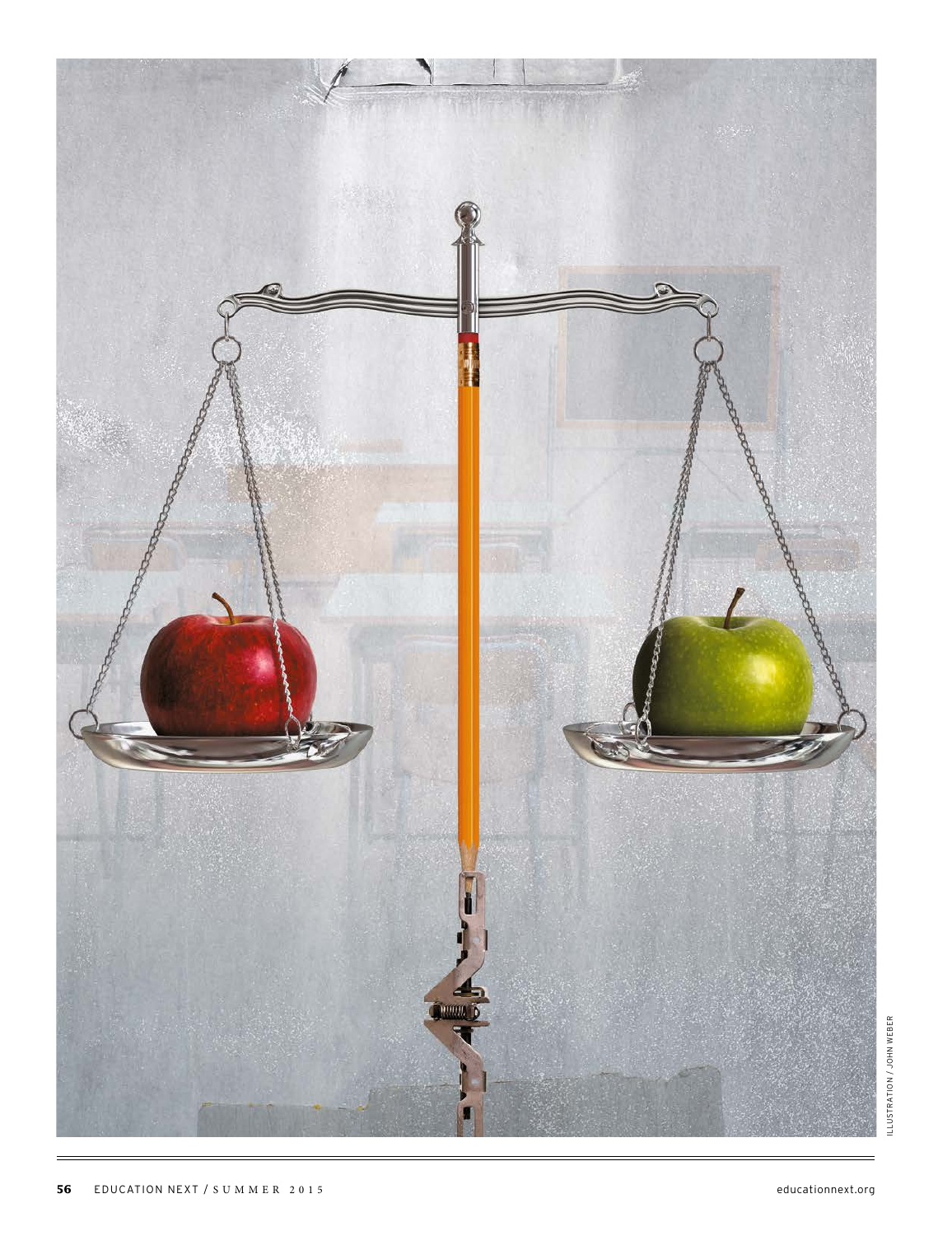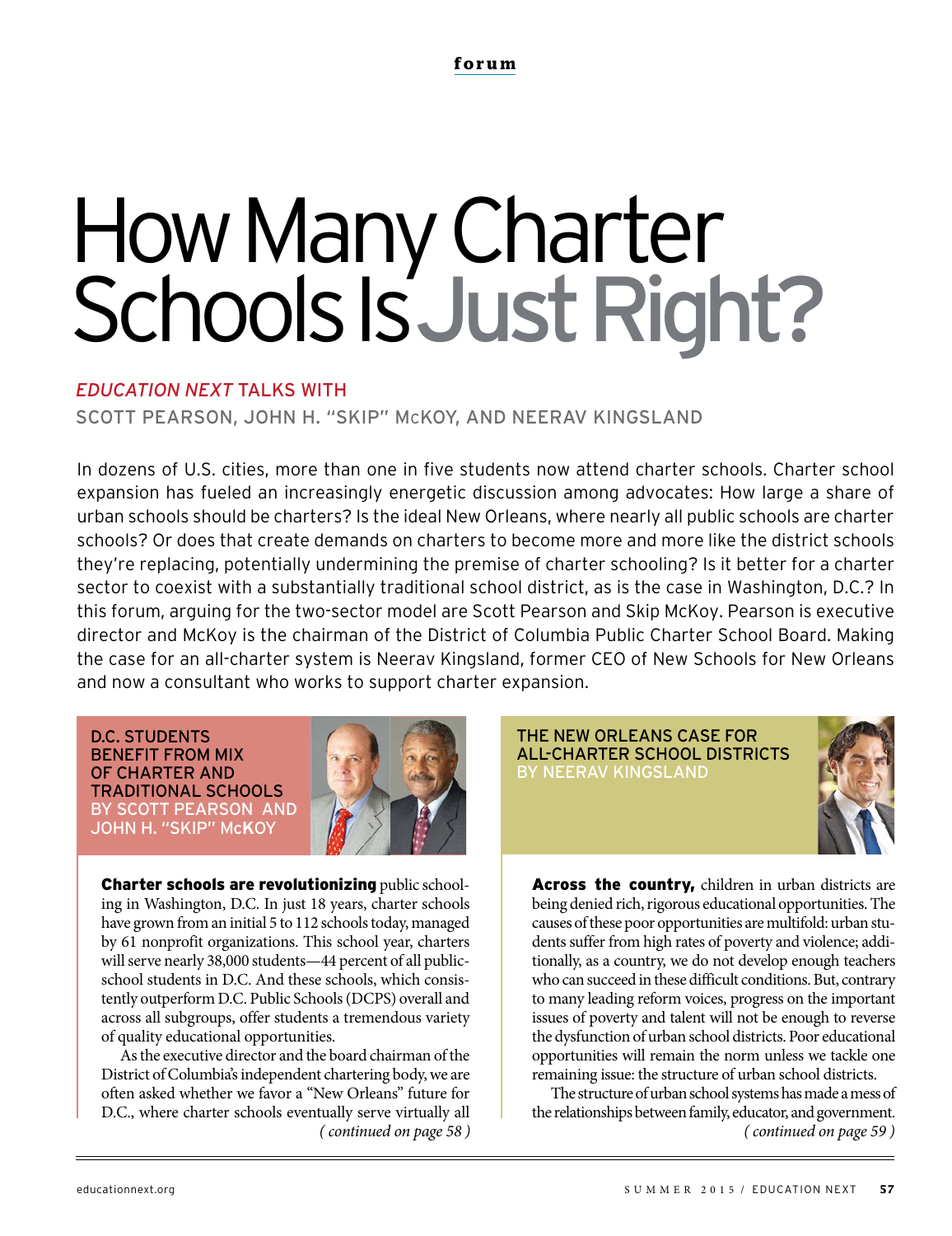# How Many Charter Schools Is Just Right?

## *EDUCATION NEXT* TALKS WITH

SCOTT PEARSON, JOHN H. "SKIP" MCKOY, AND NEERAV KINGSLAND

In dozens of U.S. cities, more than one in five students now attend charter schools. Charter school expansion has fueled an increasingly energetic discussion among advocates: How large a share of urban schools should be charters? Is the ideal New Orleans, where nearly all public schools are charter schools? Or does that create demands on charters to become more and more like the district schools they're replacing, potentially undermining the premise of charter schooling? Is it better for a charter sector to coexist with a substantially traditional school district, as is the case in Washington, D.C.? In this forum, arguing for the two-sector model are Scott Pearson and Skip McKoy. Pearson is executive director and McKoy is the chairman of the District of Columbia Public Charter School Board. Making the case for an all-charter system is Neerav Kingsland, former CEO of New Schools for New Orleans and now a consultant who works to support charter expansion.

D.C. STUDENTS BENEFIT FROM MIX OF CHARTER AND TRADITIONAL SCHOOLS BY SCOTT PEARSON AND JOHN H. "SKIP" M**CK**OY



Charter schools are revolutionizing public schooling in Washington, D.C. In just 18 years, charter schools have grown from an initial 5 to 112 schools today, managed by 61 nonprofit organizations. This school year, charters will serve nearly 38,000 students—44 percent of all publicschool students in D.C. And these schools, which consistently outperform D.C. Public Schools (DCPS) overall and across all subgroups, offer students a tremendous variety of quality educational opportunities.

( continued on page 58 ) As the executive director and the board chairman of the District of Columbia's independent chartering body, we are often asked whether we favor a "New Orleans" future for D.C., where charter schools eventually serve virtually all

THE NEW ORLEANS CASE FOR ALL-CHARTER SCHOOL DISTRICTS BY NEERAV KINGSLAND



Across the country, children in urban districts are being denied rich, rigorous educational opportunities. The causes of these poor opportunities are multifold: urban students suffer from high rates of poverty and violence; additionally, as a country, we do not develop enough teachers who can succeed in these difficult conditions. But, contrary to many leading reform voices, progress on the important issues of poverty and talent will not be enough to reverse the dysfunction of urban school districts. Poor educational opportunities will remain the norm unless we tackle one remaining issue: the structure of urban school districts.

The structure of urban school systems has made a mess of the relationships between family, educator, and government. ( continued on page 59 )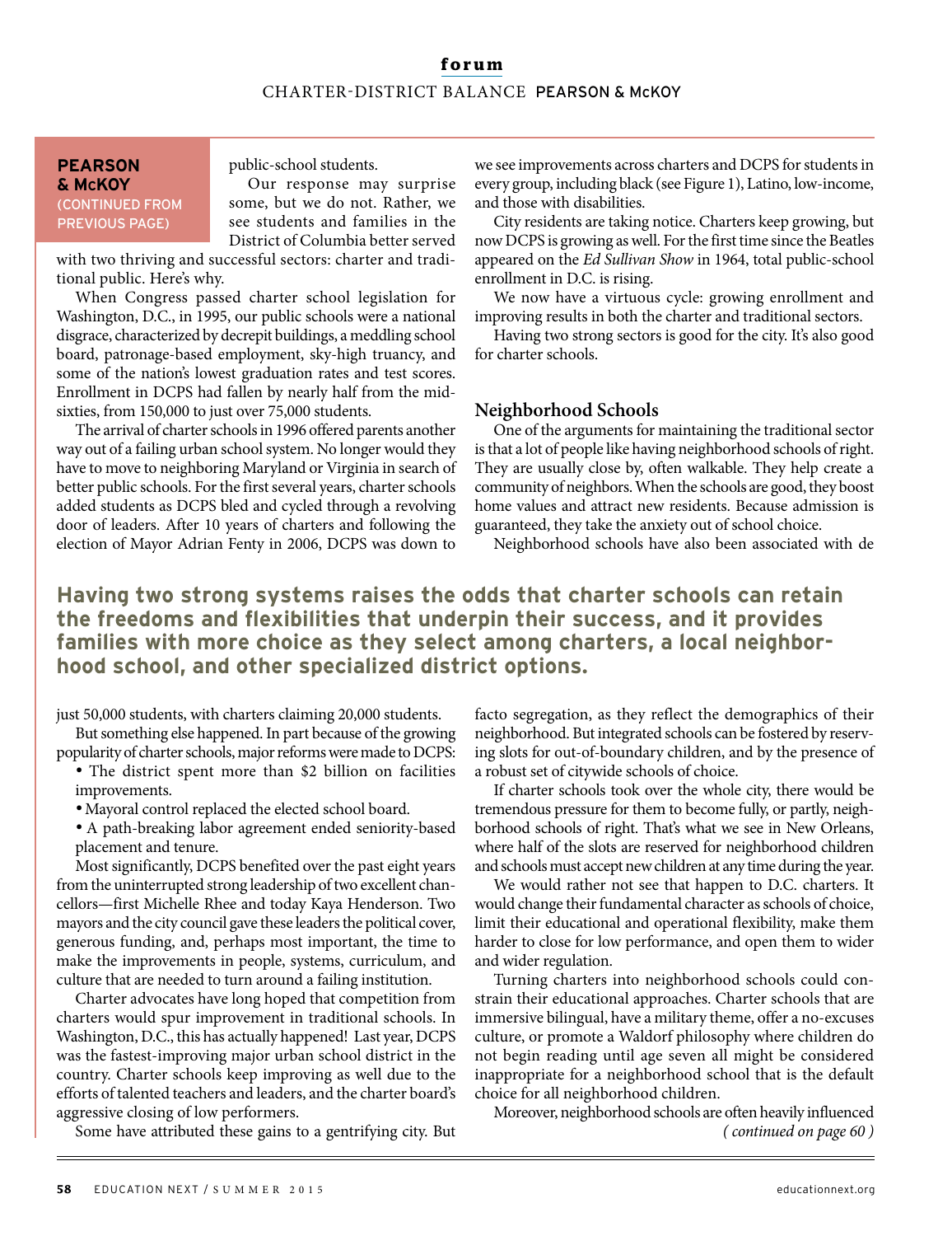## **forum** CHARTER-DISTRICT BALANCE PEARSON & McKOY

#### **PEARSON & MCKOY** (CONTINUED FROM PREVIOUS PAGE)

public-school students.

Our response may surprise some, but we do not. Rather, we see students and families in the District of Columbia better served

with two thriving and successful sectors: charter and traditional public. Here's why.

When Congress passed charter school legislation for Washington, D.C., in 1995, our public schools were a national disgrace, characterized by decrepit buildings, a meddling school board, patronage-based employment, sky-high truancy, and some of the nation's lowest graduation rates and test scores. Enrollment in DCPS had fallen by nearly half from the midsixties, from 150,000 to just over 75,000 students.

The arrival of charter schools in 1996 offered parents another way out of a failing urban school system. No longer would they have to move to neighboring Maryland or Virginia in search of better public schools. For the first several years, charter schools added students as DCPS bled and cycled through a revolving door of leaders. After 10 years of charters and following the election of Mayor Adrian Fenty in 2006, DCPS was down to

we see improvements across charters and DCPS for students in every group, including black (see Figure 1), Latino, low-income, and those with disabilities.

City residents are taking notice. Charters keep growing, but now DCPS is growing as well. For the first time since the Beatles appeared on the Ed Sullivan Show in 1964, total public-school enrollment in D.C. is rising.

We now have a virtuous cycle: growing enrollment and improving results in both the charter and traditional sectors.

Having two strong sectors is good for the city. It's also good for charter schools.

#### **Neighborhood Schools**

One of the arguments for maintaining the traditional sector is that a lot of people like having neighborhood schools of right. They are usually close by, often walkable. They help create a community of neighbors. When the schools are good, they boost home values and attract new residents. Because admission is guaranteed, they take the anxiety out of school choice.

Neighborhood schools have also been associated with de

# **Having two strong systems raises the odds that charter schools can retain the freedoms and flexibilities that underpin their success, and it provides families with more choice as they select among charters, a local neighborhood school, and other specialized district options.**

just 50,000 students, with charters claiming 20,000 students.

But something else happened. In part because of the growing popularity of charter schools, major reforms were made to DCPS:

· The district spent more than \$2 billion on facilities improvements.

· Mayoral control replaced the elected school board.

· A path-breaking labor agreement ended seniority-based placement and tenure.

Most significantly, DCPS benefited over the past eight years from the uninterrupted strong leadership of two excellent chancellors—first Michelle Rhee and today Kaya Henderson. Two mayors and the city council gave these leaders the political cover, generous funding, and, perhaps most important, the time to make the improvements in people, systems, curriculum, and culture that are needed to turn around a failing institution.

Charter advocates have long hoped that competition from charters would spur improvement in traditional schools. In Washington, D.C., this has actually happened! Last year, DCPS was the fastest-improving major urban school district in the country. Charter schools keep improving as well due to the efforts of talented teachers and leaders, and the charter board's aggressive closing of low performers.

Some have attributed these gains to a gentrifying city. But

facto segregation, as they reflect the demographics of their neighborhood. But integrated schools can be fostered by reserving slots for out-of-boundary children, and by the presence of a robust set of citywide schools of choice.

If charter schools took over the whole city, there would be tremendous pressure for them to become fully, or partly, neighborhood schools of right. That's what we see in New Orleans, where half of the slots are reserved for neighborhood children and schools must accept new children at any time during the year.

We would rather not see that happen to D.C. charters. It would change their fundamental character as schools of choice, limit their educational and operational flexibility, make them harder to close for low performance, and open them to wider and wider regulation.

Turning charters into neighborhood schools could constrain their educational approaches. Charter schools that are immersive bilingual, have a military theme, offer a no-excuses culture, or promote a Waldorf philosophy where children do not begin reading until age seven all might be considered inappropriate for a neighborhood school that is the default choice for all neighborhood children.

Moreover, neighborhood schools are often heavily influenced ( continued on page 60 )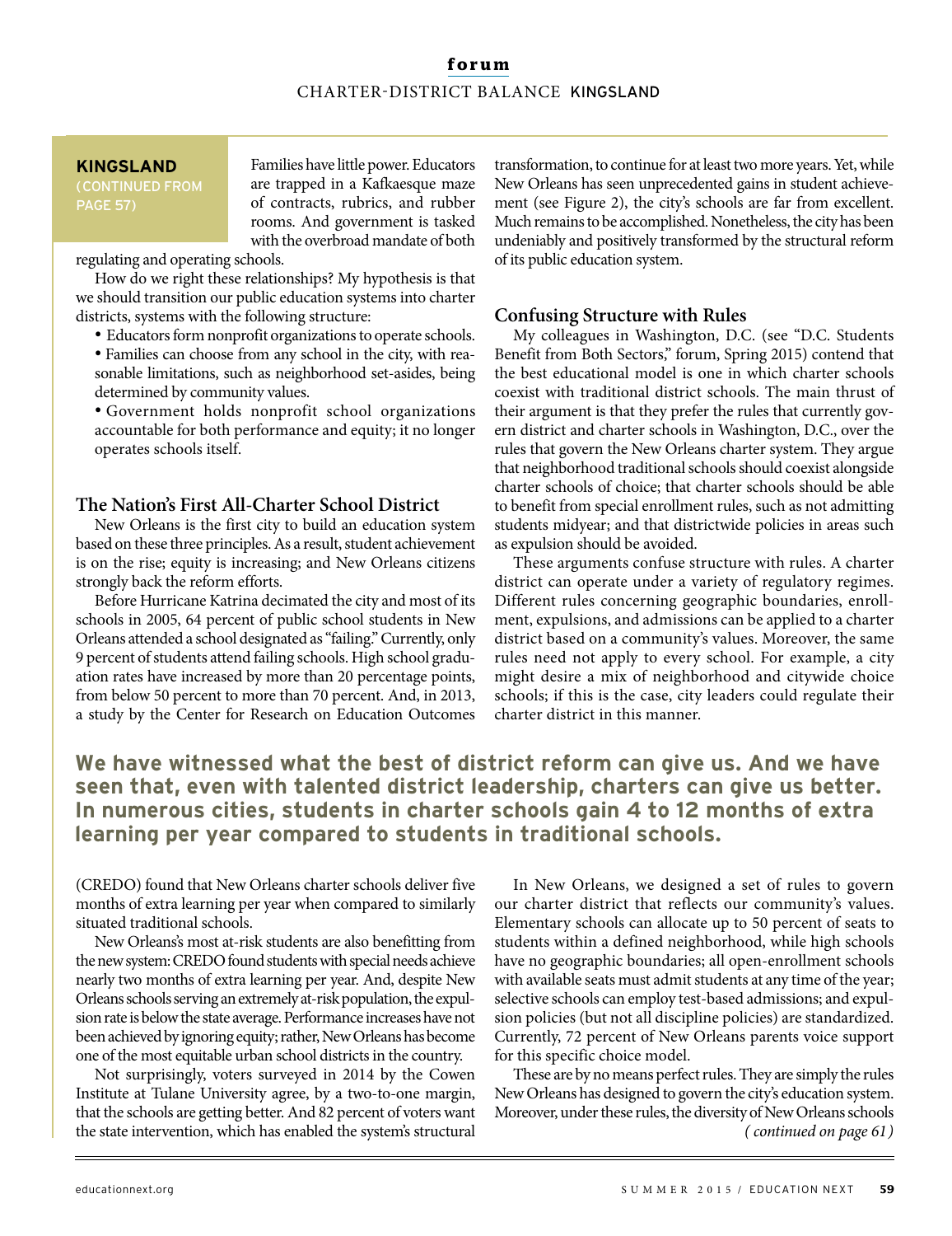## **KINGSLAND**

(CONTINUED FROM PAGE 57)

Families have little power. Educators are trapped in a Kafkaesque maze of contracts, rubrics, and rubber rooms. And government is tasked with the overbroad mandate of both

regulating and operating schools.

How do we right these relationships? My hypothesis is that we should transition our public education systems into charter districts, systems with the following structure:

· Educators form nonprofit organizations to operate schools.

· Families can choose from any school in the city, with reasonable limitations, such as neighborhood set-asides, being determined by community values.

· Government holds nonprofit school organizations accountable for both performance and equity; it no longer operates schools itself.

## **The Nation's First All-Charter School District**

New Orleans is the first city to build an education system based on these three principles. As a result, student achievement is on the rise; equity is increasing; and New Orleans citizens strongly back the reform efforts.

Before Hurricane Katrina decimated the city and most of its schools in 2005, 64 percent of public school students in New Orleans attended a school designated as "failing." Currently, only 9 percent of students attend failing schools. High school graduation rates have increased by more than 20 percentage points, from below 50 percent to more than 70 percent. And, in 2013, a study by the Center for Research on Education Outcomes

transformation, to continue for at least two more years. Yet, while New Orleans has seen unprecedented gains in student achievement (see Figure 2), the city's schools are far from excellent. Much remains to be accomplished. Nonetheless, the city has been undeniably and positively transformed by the structural reform of its public education system.

#### **Confusing Structure with Rules**

My colleagues in Washington, D.C. (see "D.C. Students Benefit from Both Sectors," forum, Spring 2015) contend that the best educational model is one in which charter schools coexist with traditional district schools. The main thrust of their argument is that they prefer the rules that currently govern district and charter schools in Washington, D.C., over the rules that govern the New Orleans charter system. They argue that neighborhood traditional schools should coexist alongside charter schools of choice; that charter schools should be able to benefit from special enrollment rules, such as not admitting students midyear; and that districtwide policies in areas such as expulsion should be avoided.

These arguments confuse structure with rules. A charter district can operate under a variety of regulatory regimes. Different rules concerning geographic boundaries, enrollment, expulsions, and admissions can be applied to a charter district based on a community's values. Moreover, the same rules need not apply to every school. For example, a city might desire a mix of neighborhood and citywide choice schools; if this is the case, city leaders could regulate their charter district in this manner.

## **We have witnessed what the best of district reform can give us. And we have seen that, even with talented district leadership, charters can give us better. In numerous cities, students in charter schools gain 4 to 12 months of extra learning per year compared to students in traditional schools.**

(CREDO) found that New Orleans charter schools deliver five months of extra learning per year when compared to similarly situated traditional schools.

New Orleans's most at-risk students are also benefitting from the new system: CREDO found students with special needs achieve nearly two months of extra learning per year. And, despite New Orleans schools serving an extremely at-risk population, the expulsion rate is below the state average. Performance increases have not been achieved by ignoring equity; rather, New Orleans has become one of the most equitable urban school districts in the country.

Not surprisingly, voters surveyed in 2014 by the Cowen Institute at Tulane University agree, by a two-to-one margin, that the schools are getting better. And 82 percent of voters want the state intervention, which has enabled the system's structural

In New Orleans, we designed a set of rules to govern our charter district that reflects our community's values. Elementary schools can allocate up to 50 percent of seats to students within a defined neighborhood, while high schools have no geographic boundaries; all open-enrollment schools with available seats must admit students at any time of the year; selective schools can employ test-based admissions; and expulsion policies (but not all discipline policies) are standardized. Currently, 72 percent of New Orleans parents voice support for this specific choice model.

These are by no means perfect rules. They are simply the rules New Orleans has designed to govern the city's education system. Moreover, under these rules, the diversity of New Orleans schools ( continued on page 61)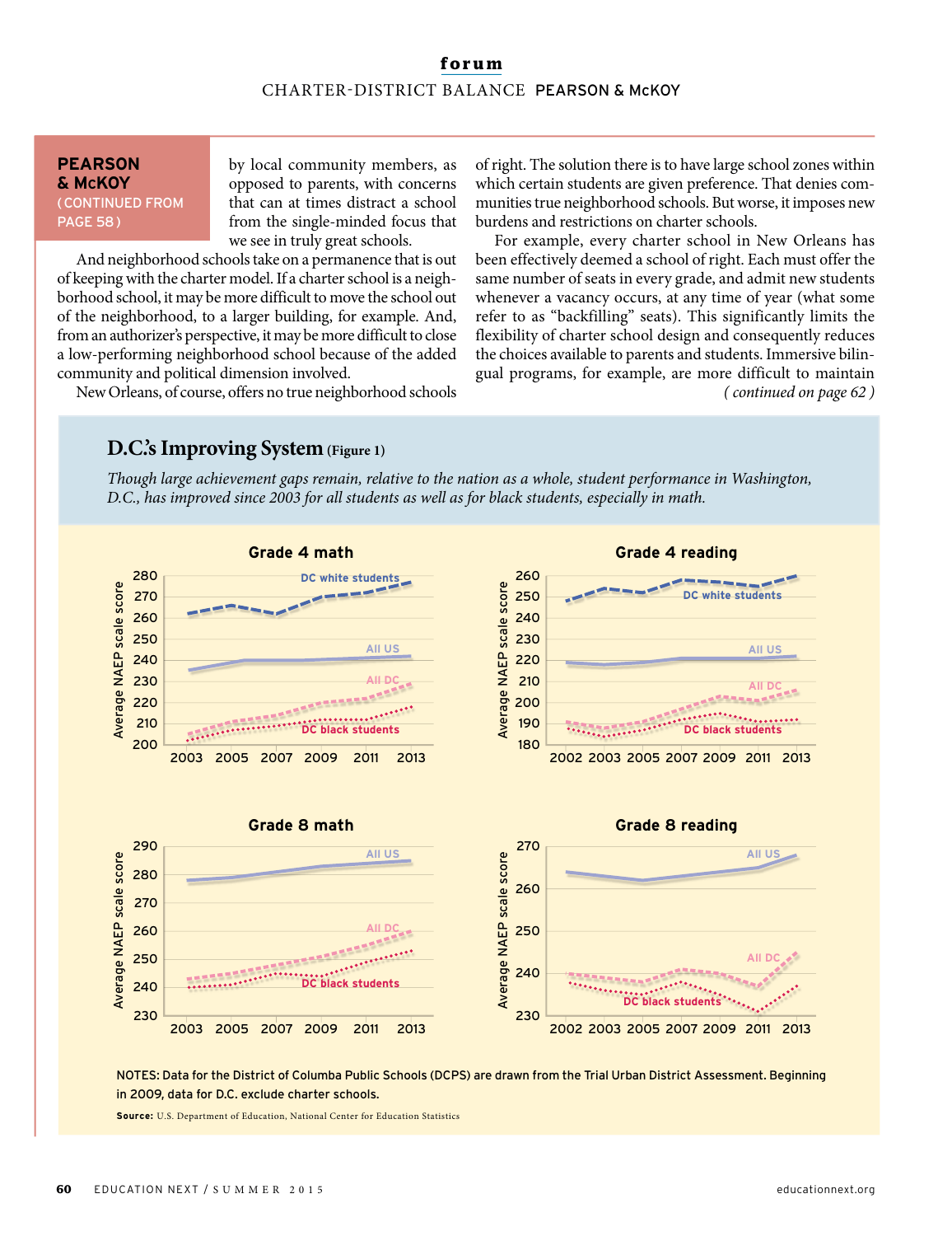## **forum** CHARTER-DISTRICT BALANCE PFARSON & MCKOY

#### **PEARSON & MCKOY** (CONTINUED FROM PAGE 58)

by local community members, as opposed to parents, with concerns that can at times distract a school from the single-minded focus that we see in truly great schools.

And neighborhood schools take on a permanence that is out of keeping with the charter model. If a charter school is a neighborhood school, it may be more difficult to move the school out of the neighborhood, to a larger building, for example. And, from an authorizer's perspective, it may be more difficult to close a low-performing neighborhood school because of the added community and political dimension involved.

New Orleans, of course, offers no true neighborhood schools

of right. The solution there is to have large school zones within which certain students are given preference. That denies communities true neighborhood schools. But worse, it imposes new burdens and restrictions on charter schools.

For example, every charter school in New Orleans has been effectively deemed a school of right. Each must offer the same number of seats in every grade, and admit new students whenever a vacancy occurs, at any time of year (what some refer to as "backfilling" seats). This significantly limits the flexibility of charter school design and consequently reduces the choices available to parents and students. Immersive bilingual programs, for example, are more difficult to maintain ( continued on page 62 )

#### **D.C.'s Improving System** (Figure 1)

Though large achievement gaps remain, relative to the nation as a whole, student performance in Washington, D.C., has improved since 2003 for all students as well as for black students, especially in math.



NOTES: Data for the District of Columba Public Schools (DCPS) are drawn from the Trial Urban District Assessment. Beginning in 2009, data for D.C. exclude charter schools.

**Source:** U.S. Department of Education, National Center for Education Statistics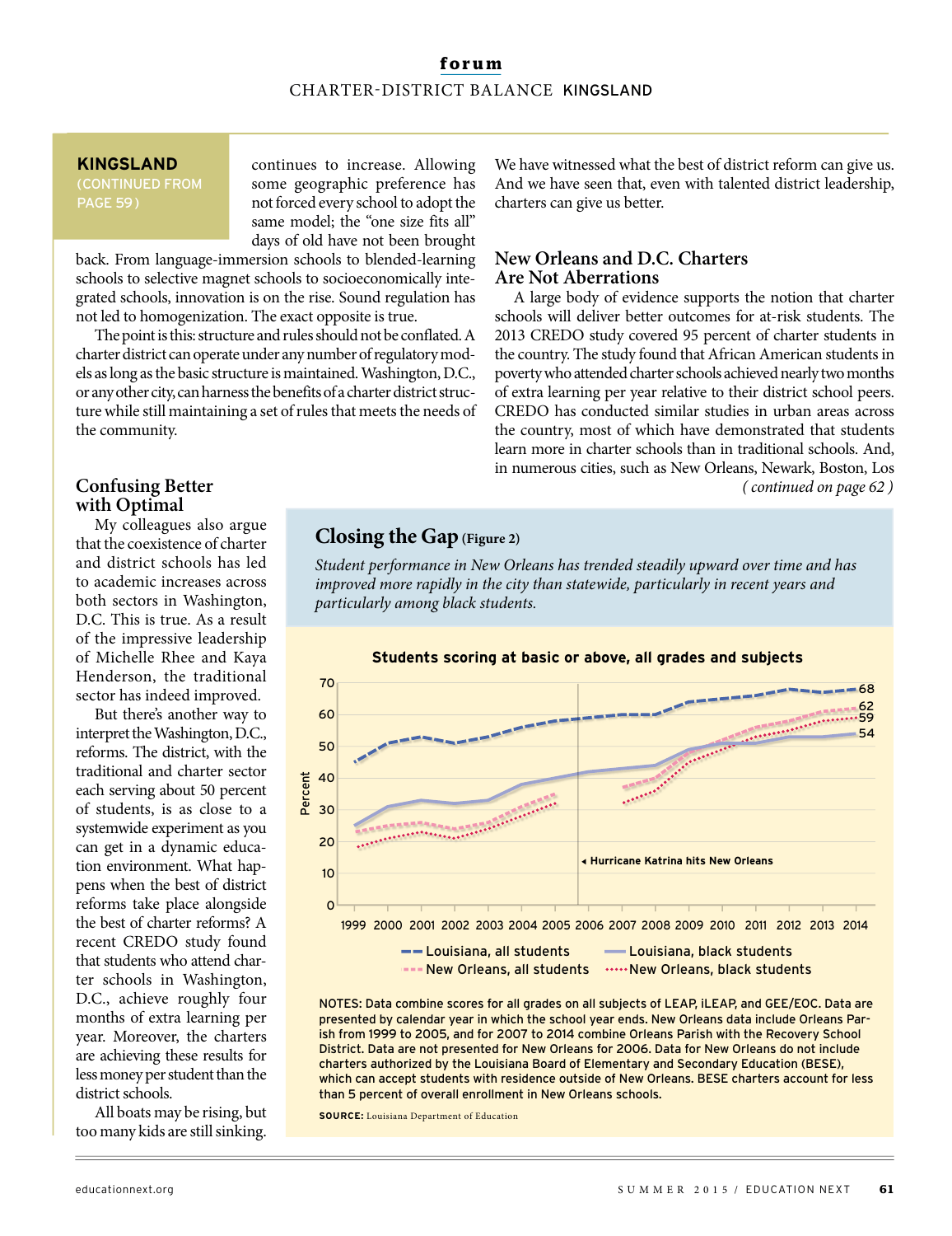## **forum** CHARTER-DISTRICT BALANCE KINGSLAND

#### **KINGSLAND** (CONTINUED FROM

PAGE 59)

continues to increase. Allowing some geographic preference has not forced every school to adopt the same model; the "one size fits all" days of old have not been brought

back. From language-immersion schools to blended-learning schools to selective magnet schools to socioeconomically integrated schools, innovation is on the rise. Sound regulation has not led to homogenization. The exact opposite is true.

The point is this: structure and rules should not be conflated. A charter district can operate under any number of regulatory models as long as the basic structure is maintained. Washington, D.C., or any other city, can harness the benefits of a charter district structure while still maintaining a set of rules that meets the needs of the community.

We have witnessed what the best of district reform can give us. And we have seen that, even with talented district leadership, charters can give us better.

#### **New Orleans and D.C. Charters Are Not Aberrations**

A large body of evidence supports the notion that charter schools will deliver better outcomes for at-risk students. The 2013 CREDO study covered 95 percent of charter students in the country. The study found that African American students in poverty who attended charter schools achieved nearly two months of extra learning per year relative to their district school peers. CREDO has conducted similar studies in urban areas across the country, most of which have demonstrated that students learn more in charter schools than in traditional schools. And, in numerous cities, such as New Orleans, Newark, Boston, Los ( continued on page 62 )

## **Confusing Better with Optimal**

My colleagues also argue that the coexistence of charter and district schools has led to academic increases across both sectors in Washington, D.C. This is true. As a result of the impressive leadership of Michelle Rhee and Kaya Henderson, the traditional sector has indeed improved.

But there's another way to interpret the Washington, D.C., reforms. The district, with the traditional and charter sector each serving about 50 percent of students, is as close to a systemwide experiment as you can get in a dynamic education environment. What happens when the best of district reforms take place alongside the best of charter reforms? A recent CREDO study found that students who attend charter schools in Washington, D.C., achieve roughly four months of extra learning per year. Moreover, the charters are achieving these results for less money per student than the district schools.

All boats may be rising, but too many kids are still sinking.

## **Closing the Gap(Figure 2)**

Student performance in New Orleans has trended steadily upward over time and has improved more rapidly in the city than statewide, particularly in recent years and particularly among black students.



NOTES: Data combine scores for all grades on all subjects of LEAP, iLEAP, and GEE/EOC. Data are presented by calendar year in which the school year ends. New Orleans data include Orleans Parish from 1999 to 2005, and for 2007 to 2014 combine Orleans Parish with the Recovery School District. Data are not presented for New Orleans for 2006. Data for New Orleans do not include charters authorized by the Louisiana Board of Elementary and Secondary Education (BESE), which can accept students with residence outside of New Orleans. BESE charters account for less than 5 percent of overall enrollment in New Orleans schools.

**SOURCE:** Louisiana Department of Education